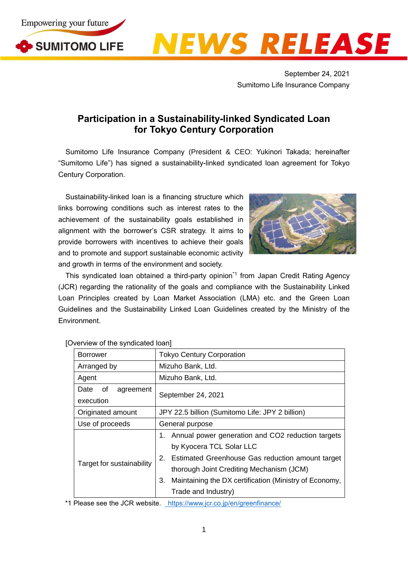



September 24, 2021 Sumitomo Life Insurance Company

## **Participation in a Sustainability-linked Syndicated Loan for Tokyo Century Corporation**

Sumitomo Life Insurance Company (President & CEO: Yukinori Takada; hereinafter "Sumitomo Life") has signed a sustainability-linked syndicated loan agreement for Tokyo Century Corporation.

Sustainability-linked loan is a financing structure which links borrowing conditions such as interest rates to the achievement of the sustainability goals established in alignment with the borrower's CSR strategy. It aims to provide borrowers with incentives to achieve their goals and to promote and support sustainable economic activity and growth in terms of the environment and society.



This syndicated loan obtained a third-party opinion<sup>\*1</sup> from Japan Credit Rating Agency (JCR) regarding the rationality of the goals and compliance with the Sustainability Linked Loan Principles created by Loan Market Association (LMA) etc. and the Green Loan Guidelines and the Sustainability Linked Loan Guidelines created by the Ministry of the Environment.

| <b>Borrower</b>                      | <b>Tokyo Century Corporation</b>                                                                                                                                                                                                                                           |
|--------------------------------------|----------------------------------------------------------------------------------------------------------------------------------------------------------------------------------------------------------------------------------------------------------------------------|
| Arranged by                          | Mizuho Bank, Ltd.                                                                                                                                                                                                                                                          |
| Agent                                | Mizuho Bank, Ltd.                                                                                                                                                                                                                                                          |
| of<br>Date<br>agreement<br>execution | September 24, 2021                                                                                                                                                                                                                                                         |
| Originated amount                    | JPY 22.5 billion (Sumitomo Life: JPY 2 billion)                                                                                                                                                                                                                            |
| Use of proceeds                      | General purpose                                                                                                                                                                                                                                                            |
| Target for sustainability            | 1. Annual power generation and CO2 reduction targets<br>by Kyocera TCL Solar LLC<br>2. Estimated Greenhouse Gas reduction amount target<br>thorough Joint Crediting Mechanism (JCM)<br>Maintaining the DX certification (Ministry of Economy,<br>3.<br>Trade and Industry) |

[Overview of the syndicated loan]

\*1 Please see the JCR website. <https://www.jcr.co.jp/en/greenfinance/>